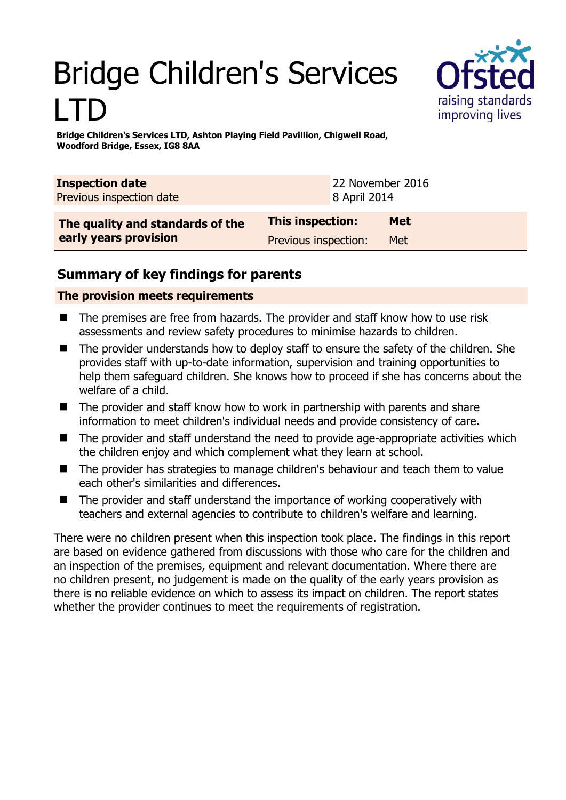# Bridge Children's Services LTD



**Bridge Children's Services LTD, Ashton Playing Field Pavillion, Chigwell Road, Woodford Bridge, Essex, IG8 8AA** 

| <b>Inspection date</b><br>Previous inspection date |                         | 22 November 2016<br>8 April 2014 |            |
|----------------------------------------------------|-------------------------|----------------------------------|------------|
| The quality and standards of the                   | <b>This inspection:</b> |                                  | <b>Met</b> |
| early years provision                              | Previous inspection:    |                                  | Met        |

## **Summary of key findings for parents**

### **The provision meets requirements**

- The premises are free from hazards. The provider and staff know how to use risk assessments and review safety procedures to minimise hazards to children.
- The provider understands how to deploy staff to ensure the safety of the children. She provides staff with up-to-date information, supervision and training opportunities to help them safeguard children. She knows how to proceed if she has concerns about the welfare of a child.
- The provider and staff know how to work in partnership with parents and share information to meet children's individual needs and provide consistency of care.
- The provider and staff understand the need to provide age-appropriate activities which the children enjoy and which complement what they learn at school.
- The provider has strategies to manage children's behaviour and teach them to value each other's similarities and differences.
- The provider and staff understand the importance of working cooperatively with teachers and external agencies to contribute to children's welfare and learning.

There were no children present when this inspection took place. The findings in this report are based on evidence gathered from discussions with those who care for the children and an inspection of the premises, equipment and relevant documentation. Where there are no children present, no judgement is made on the quality of the early years provision as there is no reliable evidence on which to assess its impact on children. The report states whether the provider continues to meet the requirements of registration.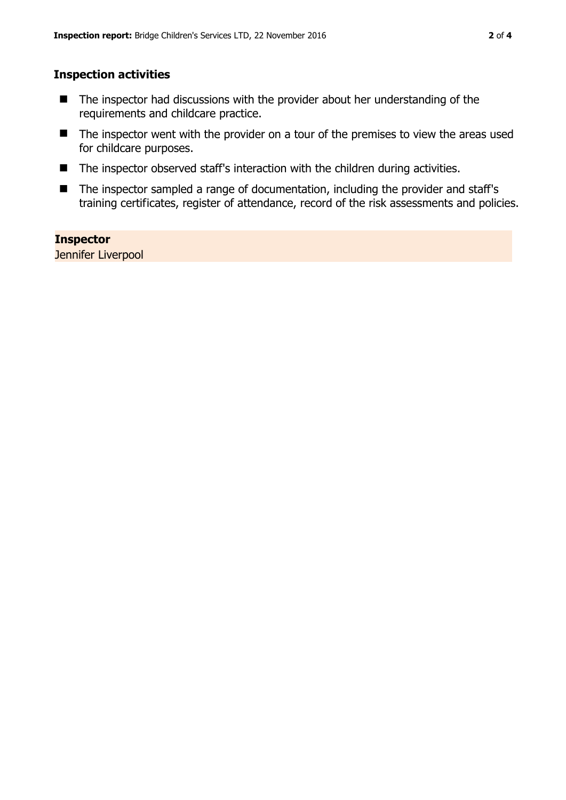#### **Inspection activities**

- The inspector had discussions with the provider about her understanding of the requirements and childcare practice.
- The inspector went with the provider on a tour of the premises to view the areas used for childcare purposes.
- The inspector observed staff's interaction with the children during activities.
- The inspector sampled a range of documentation, including the provider and staff's training certificates, register of attendance, record of the risk assessments and policies.

#### **Inspector**

Jennifer Liverpool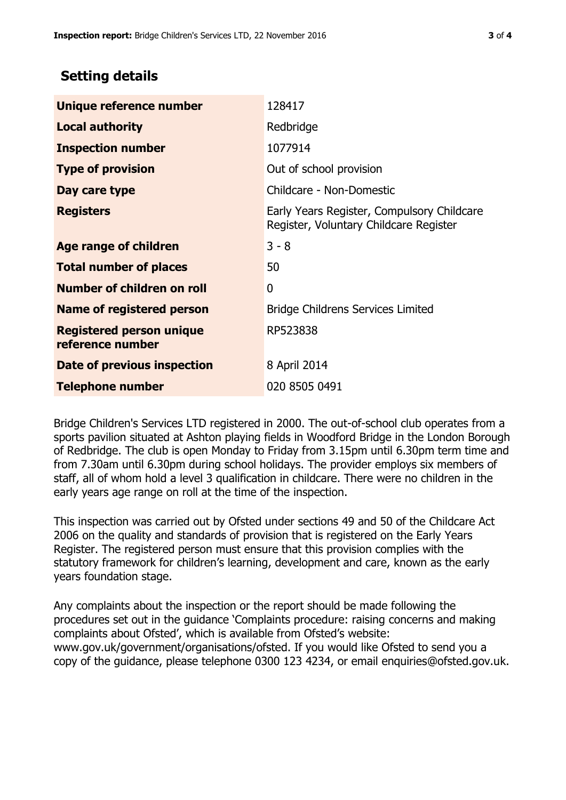## **Setting details**

| Unique reference number                             | 128417                                                                               |
|-----------------------------------------------------|--------------------------------------------------------------------------------------|
| <b>Local authority</b>                              | Redbridge                                                                            |
| <b>Inspection number</b>                            | 1077914                                                                              |
| <b>Type of provision</b>                            | Out of school provision                                                              |
| Day care type                                       | Childcare - Non-Domestic                                                             |
| <b>Registers</b>                                    | Early Years Register, Compulsory Childcare<br>Register, Voluntary Childcare Register |
| Age range of children                               | $3 - 8$                                                                              |
| <b>Total number of places</b>                       | 50                                                                                   |
| Number of children on roll                          | 0                                                                                    |
| Name of registered person                           | <b>Bridge Childrens Services Limited</b>                                             |
| <b>Registered person unique</b><br>reference number | RP523838                                                                             |
| Date of previous inspection                         | 8 April 2014                                                                         |
| <b>Telephone number</b>                             | 020 8505 0491                                                                        |

Bridge Children's Services LTD registered in 2000. The out-of-school club operates from a sports pavilion situated at Ashton playing fields in Woodford Bridge in the London Borough of Redbridge. The club is open Monday to Friday from 3.15pm until 6.30pm term time and from 7.30am until 6.30pm during school holidays. The provider employs six members of staff, all of whom hold a level 3 qualification in childcare. There were no children in the early years age range on roll at the time of the inspection.

This inspection was carried out by Ofsted under sections 49 and 50 of the Childcare Act 2006 on the quality and standards of provision that is registered on the Early Years Register. The registered person must ensure that this provision complies with the statutory framework for children's learning, development and care, known as the early years foundation stage.

Any complaints about the inspection or the report should be made following the procedures set out in the guidance 'Complaints procedure: raising concerns and making complaints about Ofsted', which is available from Ofsted's website: www.gov.uk/government/organisations/ofsted. If you would like Ofsted to send you a copy of the guidance, please telephone 0300 123 4234, or email enquiries@ofsted.gov.uk.